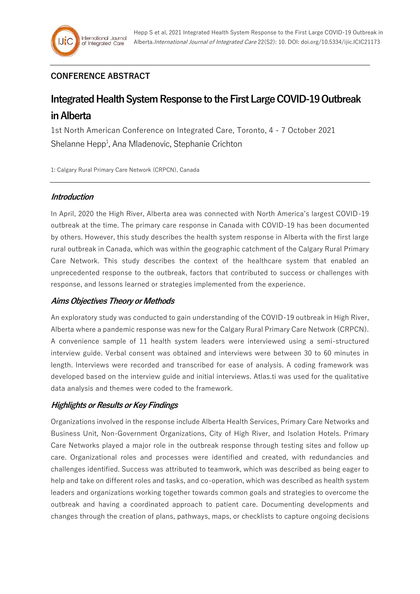# **CONFERENCE ABSTRACT**

# **Integrated Health System Response to the First Large COVID-19 Outbreak in Alberta**

1st North American Conference on Integrated Care, Toronto, 4 - 7 October 2021 Shelanne Hepp<sup>1</sup>, Ana Mladenovic, Stephanie Crichton

1: Calgary Rural Primary Care Network (CRPCN), Canada

## **Introduction**

In April, 2020 the High River, Alberta area was connected with North America's largest COVID-19 outbreak at the time. The primary care response in Canada with COVID-19 has been documented by others. However, this study describes the health system response in Alberta with the first large rural outbreak in Canada, which was within the geographic catchment of the Calgary Rural Primary Care Network. This study describes the context of the healthcare system that enabled an unprecedented response to the outbreak, factors that contributed to success or challenges with response, and lessons learned or strategies implemented from the experience.

## **Aims Objectives Theory or Methods**

An exploratory study was conducted to gain understanding of the COVID-19 outbreak in High River, Alberta where a pandemic response was new for the Calgary Rural Primary Care Network (CRPCN). A convenience sample of 11 health system leaders were interviewed using a semi-structured interview guide. Verbal consent was obtained and interviews were between 30 to 60 minutes in length. Interviews were recorded and transcribed for ease of analysis. A coding framework was developed based on the interview guide and initial interviews. Atlas.ti was used for the qualitative data analysis and themes were coded to the framework.

## **Highlights or Results or Key Findings**

Organizations involved in the response include Alberta Health Services, Primary Care Networks and Business Unit, Non-Government Organizations, City of High River, and Isolation Hotels. Primary Care Networks played a major role in the outbreak response through testing sites and follow up care. Organizational roles and processes were identified and created, with redundancies and challenges identified. Success was attributed to teamwork, which was described as being eager to help and take on different roles and tasks, and co-operation, which was described as health system leaders and organizations working together towards common goals and strategies to overcome the outbreak and having a coordinated approach to patient care. Documenting developments and changes through the creation of plans, pathways, maps, or checklists to capture ongoing decisions